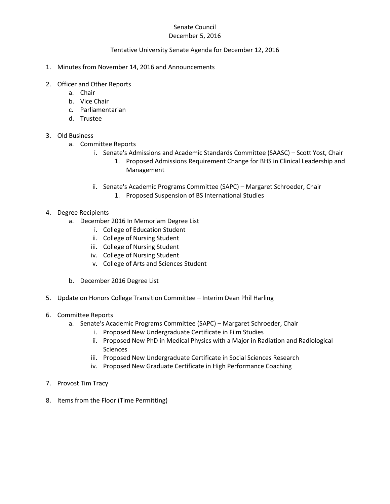# Senate Council

## December 5, 2016

#### Tentative University Senate Agenda for December 12, 2016

- 1. Minutes from November 14, 2016 and Announcements
- 2. Officer and Other Reports
	- a. Chair
	- b. Vice Chair
	- c. Parliamentarian
	- d. Trustee

## 3. Old Business

- a. Committee Reports
	- i. Senate's Admissions and Academic Standards Committee (SAASC) Scott Yost, Chair
		- 1. Proposed Admissions Requirement Change for BHS in Clinical Leadership and Management
	- ii. Senate's Academic Programs Committee (SAPC) Margaret Schroeder, Chair
		- 1. Proposed Suspension of BS International Studies
- 4. Degree Recipients
	- a. December 2016 In Memoriam Degree List
		- i. College of Education Student
		- ii. College of Nursing Student
		- iii. College of Nursing Student
		- iv. College of Nursing Student
		- v. College of Arts and Sciences Student
	- b. December 2016 Degree List
- 5. Update on Honors College Transition Committee Interim Dean Phil Harling
- 6. Committee Reports
	- a. Senate's Academic Programs Committee (SAPC) Margaret Schroeder, Chair
		- i. Proposed New Undergraduate Certificate in Film Studies
		- ii. Proposed New PhD in Medical Physics with a Major in Radiation and Radiological **Sciences**
		- iii. Proposed New Undergraduate Certificate in Social Sciences Research
		- iv. Proposed New Graduate Certificate in High Performance Coaching
- 7. Provost Tim Tracy
- 8. Items from the Floor (Time Permitting)